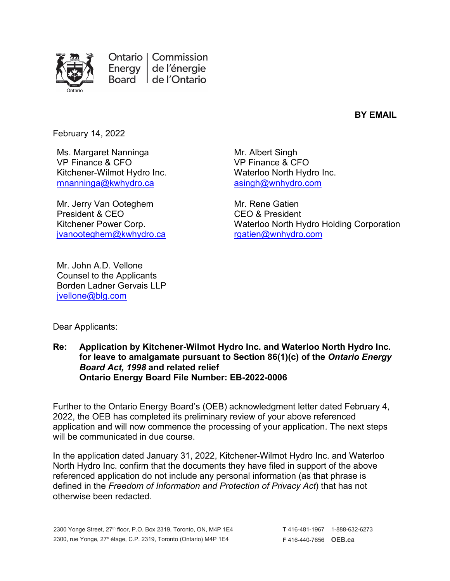

Ontario | Commission Energy de l'énergie Board | de l'Ontario

**BY EMAIL**

February 14, 2022

Ms. Margaret Nanninga VP Finance & CFO Kitchener-Wilmot Hydro Inc. [mnanninga@kwhydro.ca](mailto:mnanninga@kwhydro.ca)

Mr. Jerry Van Ooteghem President & CEO Kitchener Power Corp. [jvanooteghem@kwhydro.ca](mailto:jvanooteghem@kwhydro.ca)

Mr. John A.D. Vellone Counsel to the Applicants Borden Ladner Gervais LLP

Mr. Albert Singh VP Finance & CFO Waterloo North Hydro Inc. [asingh@wnhydro.com](mailto:asingh@wnhydro.com)

Mr. Rene Gatien CEO & President Waterloo North Hydro Holding Corporation [rgatien@wnhydro.com](mailto:rgatien@wnhydro.com)

Dear Applicants:

[jvellone@blg.com](mailto:jvellone@blg.com)

**Re: Application by Kitchener-Wilmot Hydro Inc. and Waterloo North Hydro Inc. for leave to amalgamate pursuant to Section 86(1)(c) of the** *Ontario Energy Board Act, 1998* **and related relief Ontario Energy Board File Number: EB-2022-0006**

Further to the Ontario Energy Board's (OEB) acknowledgment letter dated February 4, 2022, the OEB has completed its preliminary review of your above referenced application and will now commence the processing of your application. The next steps will be communicated in due course.

In the application dated January 31, 2022, Kitchener-Wilmot Hydro Inc. and Waterloo North Hydro Inc. confirm that the documents they have filed in support of the above referenced application do not include any personal information (as that phrase is defined in the *Freedom of Information and Protection of Privacy Act*) that has not otherwise been redacted.